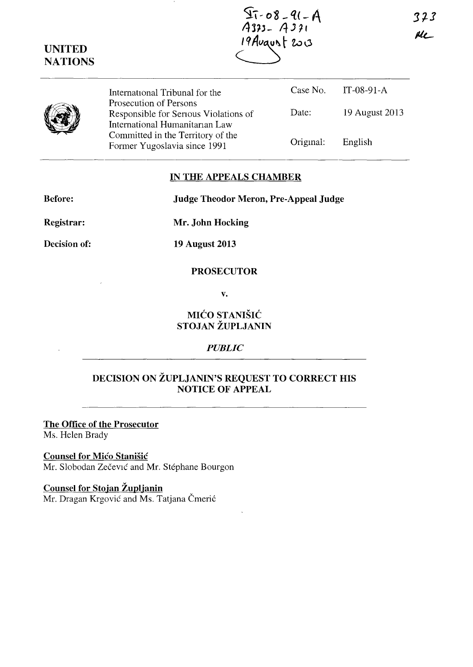373 Ale\_

 $~\overrightarrow{w}$ International Tribunal for the Prosecution of Persons Responsible for Senous Violations of International Humanitanan Law Committed in the Territory of the Former Yugoslavia since 1991 Case No. Date: Origmal: IT-08-91-A 19 August 2013 English

### **IN THE APPEALS CHAMBER**

**Before: Judge Theodor Meron, Pre-Appeal Judge** 

**Registrar:** 

**Mr. John Hocking** 

**Decision of:** 

**19 August 2013** 

#### **PROSECUTOR**

**v.** 

### **MICO STANISIC STOJAN ZUPLJANIN**

### *PUBLIC*

# **DECISION ON ZUPLJANIN'S REQUEST TO CORRECT HIS NOTICE OF APPEAL**

**The Office of the Prosecutor**  Ms. Helen Brady

**Counsel for Mico Stanisic**  Mr. Slobodan Zečević and Mr. Stéphane Bourgon

**Counsel for Stojan Zuplianin** 

Mr. Dragan Krgović and Ms. Tatjana Čmerić



 $\frac{1}{4375}$  - 08 - 91 - A 19 August 2003

**UNITED NATIONS**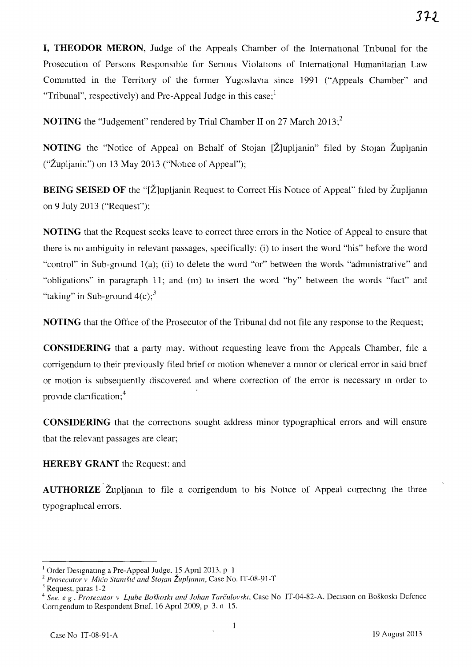**I, THEODOR MERON,** Judge of the Appeals Chamber of the International Tribunal for the Prosecution of Persons Responsible for Serious Violations of International Humanitarian Law Committed in the Territory of the former Yugoslavia since 1991 ("Appeals Chamber" and "Tribunal", respectively) and Pre-Appeal Judge in this case;<sup>1</sup>

**NOTING** the "Judgement" rendered by Trial Chamber II on 27 March 2013:<sup>2</sup>

**NOTING** the "Notice of Appeal on Behalf of Stojan [Z]upljanin" filed by Stojan Zupljanin ("Župljanin") on 13 May 2013 ("Notice of Appeal");

**BEING SEISED OF** the "[Z]upljanin Request to Correct His Notice of Appeal" filed by Zupljanin on 9 July 2013 ("Requesf');

**NOTING** that the Request seeks leave to correct three errors in the Notice of Appeal to ensure that there is no ambiguity in relevant passages, specifically: (i) to insert the word "his" before the word "control" in Sub-ground 1(a); (ii) to delete the word "or" between the words "administrative" and "obligations" in paragraph 11; and (m) to insert the word "by" between the words "fact" and "taking" in Sub-ground  $4(c)$ ;<sup>3</sup>

**NOTING** that the Office of the Prosecutor of the Tribunal did not file any response to the Request;

**CONSIDERING** that a party may, without requesting leave from the Appeals Chamber, file a corrigendum to their previously filed brief or motion whenever a minor or clerical error in said brief or motion is subsequently discovered and where correction of the error is necessary m order to provide clarification;<sup>4</sup>

**CONSIDERING** that the corrections sought address minor typographical errors and will ensure that the relevant passages are clear;

## **HEREBY GRANT** the Request; and

**AUTHORIZE** Zupljamin to file a corrigendum to his Notice of Appeal correcting the three typographical errors.

<sup>&</sup>lt;sup>1</sup> Order Designating a Pre-Appeal Judge, 15 April 2013. p 1

<sup>&</sup>lt;sup>2</sup> Prosecutor v *Mićo Stantšić and Stojan Župljanin*, Case No. IT-08-91-T

<sup>&</sup>lt;sup>3</sup> Request. paras 1-2

<sup>&</sup>lt;sup>4</sup> See, e g . Prosecutor *v Llube Boškoski and Johan Tarčulovski*, Case No IT-04-82-A. Decision on Boškoski Defence Corngendum to Respondent Bnef, 16 Apn12009, p 3. n 15.